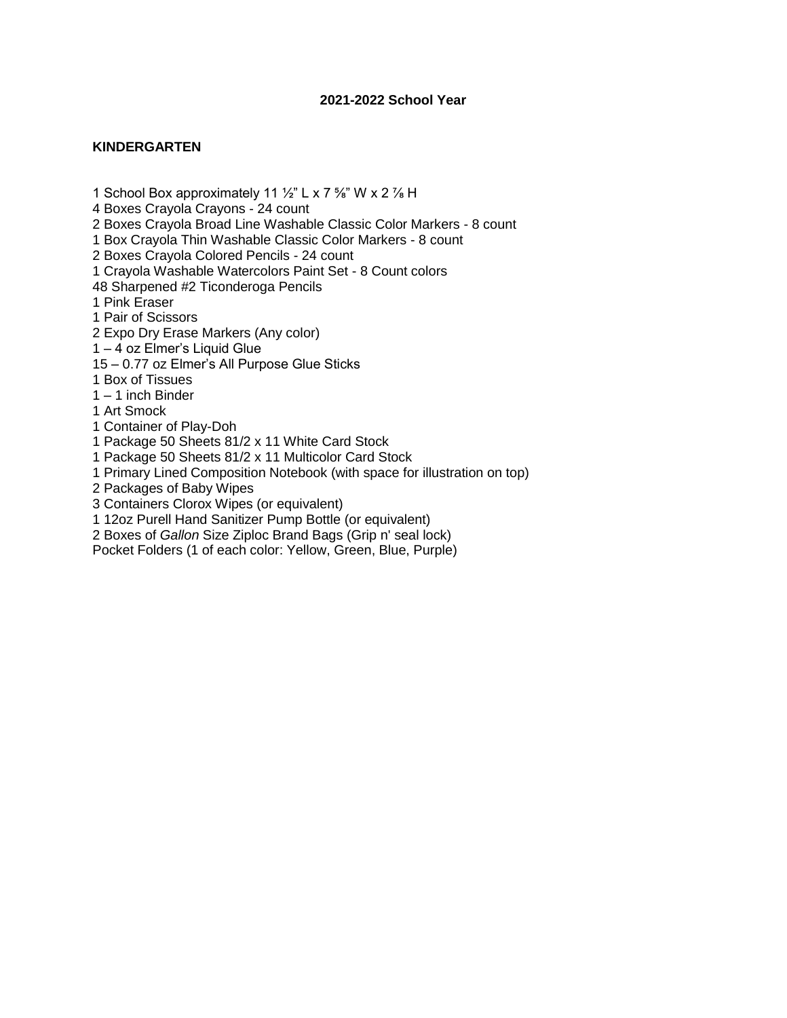# **KINDERGARTEN**

1 School Box approximately 11  $\frac{1}{2}$ " L x 7  $\frac{5}{8}$ " W x 2  $\frac{7}{8}$  H

4 Boxes Crayola Crayons - 24 count

2 Boxes Crayola Broad Line Washable Classic Color Markers - 8 count

1 Box Crayola Thin Washable Classic Color Markers - 8 count

2 Boxes Crayola Colored Pencils - 24 count

1 Crayola Washable Watercolors Paint Set - 8 Count colors

48 Sharpened #2 Ticonderoga Pencils

1 Pink Eraser

1 Pair of Scissors

2 Expo Dry Erase Markers (Any color)

1 – 4 oz Elmer's Liquid Glue

15 – 0.77 oz Elmer's All Purpose Glue Sticks

1 Box of Tissues

1 – 1 inch Binder

1 Art Smock

1 Container of Play-Doh

1 Package 50 Sheets 81/2 x 11 White Card Stock

1 Package 50 Sheets 81/2 x 11 Multicolor Card Stock

1 Primary Lined Composition Notebook (with space for illustration on top)

2 Packages of Baby Wipes

3 Containers Clorox Wipes (or equivalent)

1 12oz Purell Hand Sanitizer Pump Bottle (or equivalent)

2 Boxes of *Gallon* Size Ziploc Brand Bags (Grip n' seal lock)

Pocket Folders (1 of each color: Yellow, Green, Blue, Purple)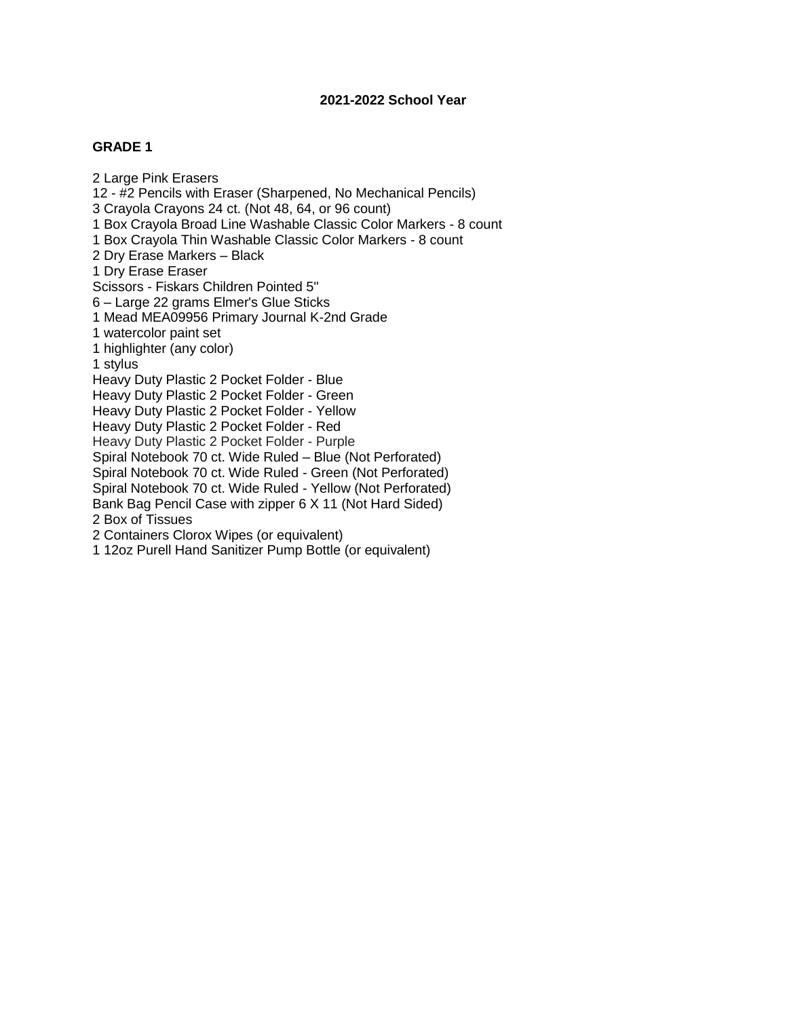## **GRADE 1**

2 Large Pink Erasers 12 - #2 Pencils with Eraser (Sharpened, No Mechanical Pencils) 3 Crayola Crayons 24 ct. (Not 48, 64, or 96 count) 1 Box Crayola Broad Line Washable Classic Color Markers - 8 count 1 Box Crayola Thin Washable Classic Color Markers - 8 count 2 Dry Erase Markers – Black 1 Dry Erase Eraser Scissors - Fiskars Children Pointed 5" 6 – Large 22 grams Elmer's Glue Sticks 1 Mead MEA09956 Primary Journal K-2nd Grade 1 watercolor paint set 1 highlighter (any color) 1 stylus Heavy Duty Plastic 2 Pocket Folder - Blue Heavy Duty Plastic 2 Pocket Folder - Green Heavy Duty Plastic 2 Pocket Folder - Yellow Heavy Duty Plastic 2 Pocket Folder - Red Heavy Duty Plastic 2 Pocket Folder - Purple Spiral Notebook 70 ct. Wide Ruled – Blue (Not Perforated) Spiral Notebook 70 ct. Wide Ruled - Green (Not Perforated) Spiral Notebook 70 ct. Wide Ruled - Yellow (Not Perforated) Bank Bag Pencil Case with zipper 6 X 11 (Not Hard Sided) 2 Box of Tissues 2 Containers Clorox Wipes (or equivalent) 1 12oz Purell Hand Sanitizer Pump Bottle (or equivalent)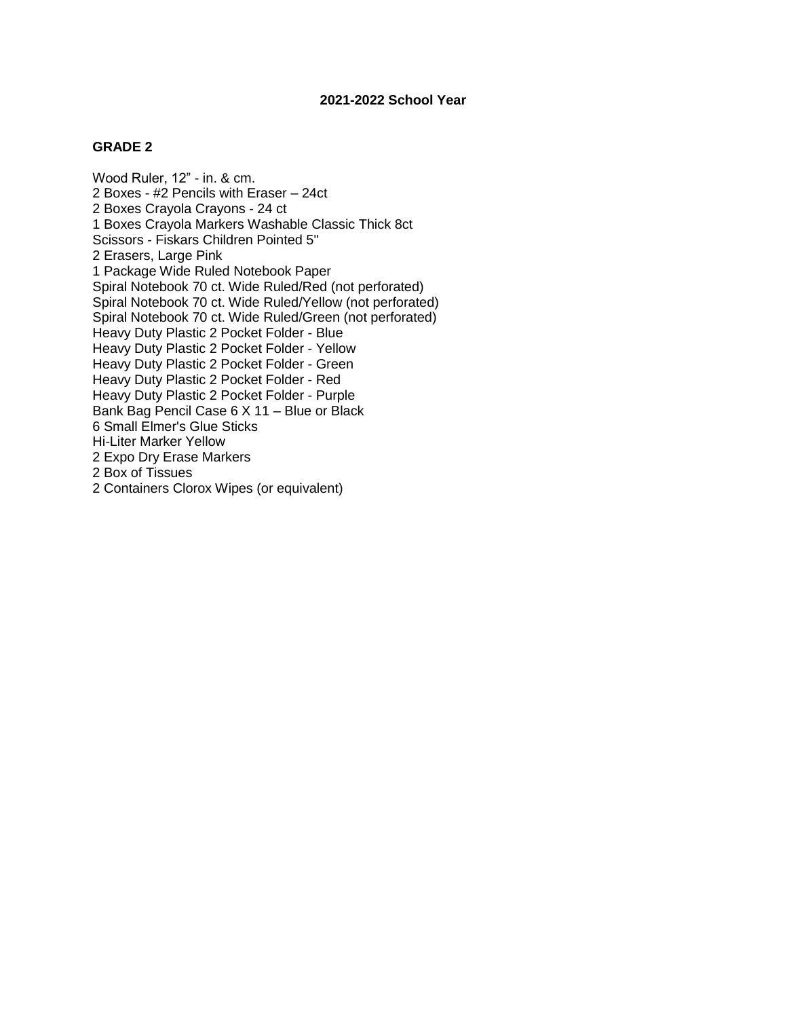Wood Ruler, 12" - in. & cm. 2 Boxes - #2 Pencils with Eraser – 24ct 2 Boxes Crayola Crayons - 24 ct 1 Boxes Crayola Markers Washable Classic Thick 8ct Scissors - Fiskars Children Pointed 5" 2 Erasers, Large Pink 1 Package Wide Ruled Notebook Paper Spiral Notebook 70 ct. Wide Ruled/Red (not perforated) Spiral Notebook 70 ct. Wide Ruled/Yellow (not perforated) Spiral Notebook 70 ct. Wide Ruled/Green (not perforated) Heavy Duty Plastic 2 Pocket Folder - Blue Heavy Duty Plastic 2 Pocket Folder - Yellow Heavy Duty Plastic 2 Pocket Folder - Green Heavy Duty Plastic 2 Pocket Folder - Red Heavy Duty Plastic 2 Pocket Folder - Purple Bank Bag Pencil Case 6 X 11 – Blue or Black 6 Small Elmer's Glue Sticks Hi-Liter Marker Yellow 2 Expo Dry Erase Markers 2 Box of Tissues 2 Containers Clorox Wipes (or equivalent)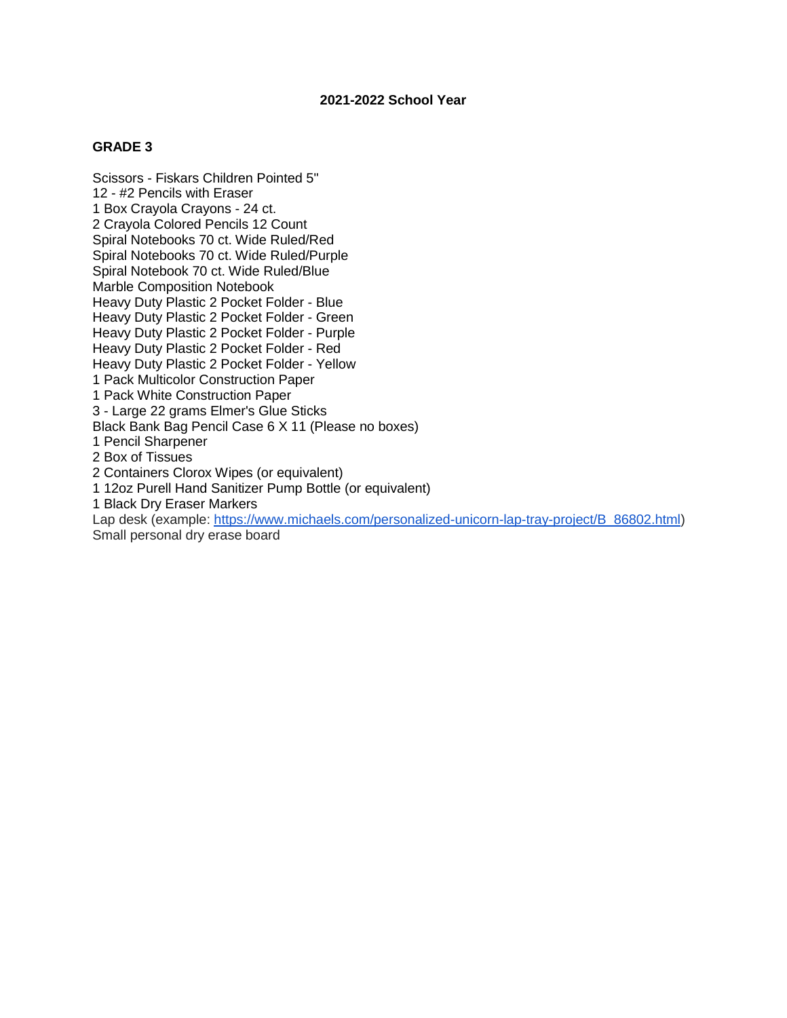#### **GRADE 3**

Scissors - Fiskars Children Pointed 5" 12 - #2 Pencils with Eraser 1 Box Crayola Crayons - 24 ct. 2 Crayola Colored Pencils 12 Count Spiral Notebooks 70 ct. Wide Ruled/Red Spiral Notebooks 70 ct. Wide Ruled/Purple Spiral Notebook 70 ct. Wide Ruled/Blue Marble Composition Notebook Heavy Duty Plastic 2 Pocket Folder - Blue Heavy Duty Plastic 2 Pocket Folder - Green Heavy Duty Plastic 2 Pocket Folder - Purple Heavy Duty Plastic 2 Pocket Folder - Red Heavy Duty Plastic 2 Pocket Folder - Yellow 1 Pack Multicolor Construction Paper 1 Pack White Construction Paper 3 - Large 22 grams Elmer's Glue Sticks Black Bank Bag Pencil Case 6 X 11 (Please no boxes) 1 Pencil Sharpener 2 Box of Tissues 2 Containers Clorox Wipes (or equivalent) 1 12oz Purell Hand Sanitizer Pump Bottle (or equivalent) 1 Black Dry Eraser Markers Lap desk (example: [https://www.michaels.com/personalized-unicorn-lap-tray-project/B\\_86802.html\)](https://www.michaels.com/personalized-unicorn-lap-tray-project/B_86802.html) Small personal dry erase board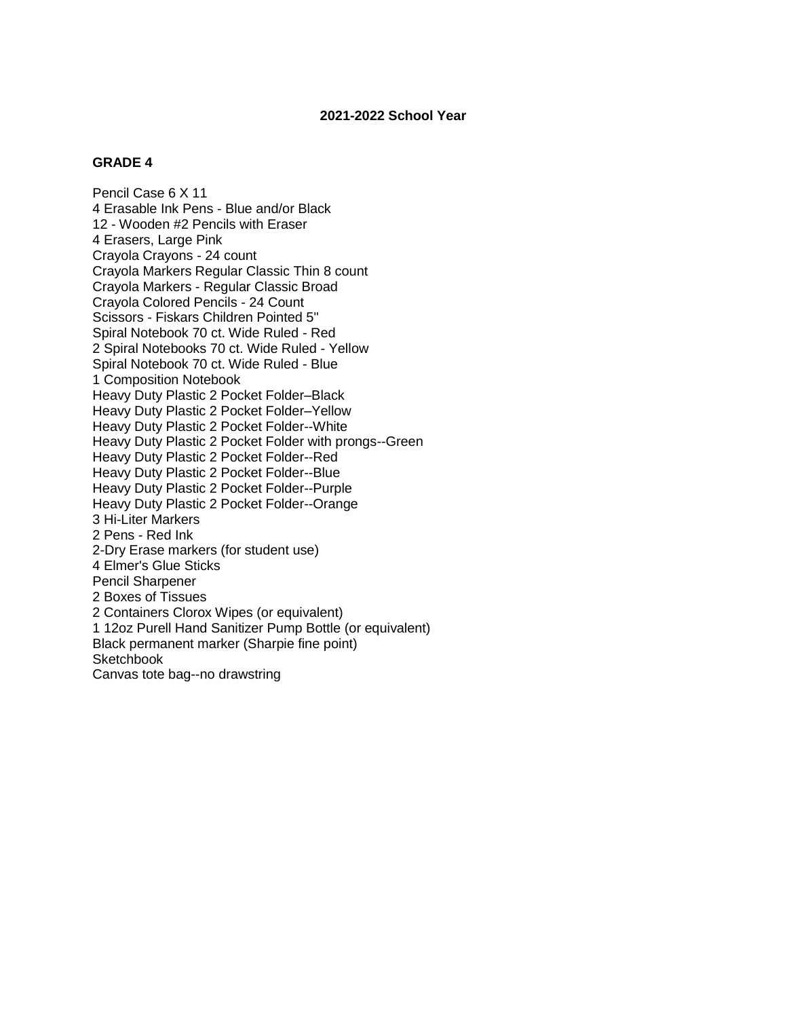# **GRADE 4**

Pencil Case 6 X 11 4 Erasable Ink Pens - Blue and/or Black 12 - Wooden #2 Pencils with Eraser 4 Erasers, Large Pink Crayola Crayons - 24 count Crayola Markers Regular Classic Thin 8 count Crayola Markers - Regular Classic Broad Crayola Colored Pencils - 24 Count Scissors - Fiskars Children Pointed 5" Spiral Notebook 70 ct. Wide Ruled - Red 2 Spiral Notebooks 70 ct. Wide Ruled - Yellow Spiral Notebook 70 ct. Wide Ruled - Blue 1 Composition Notebook Heavy Duty Plastic 2 Pocket Folder–Black Heavy Duty Plastic 2 Pocket Folder–Yellow Heavy Duty Plastic 2 Pocket Folder--White Heavy Duty Plastic 2 Pocket Folder with prongs--Green Heavy Duty Plastic 2 Pocket Folder--Red Heavy Duty Plastic 2 Pocket Folder--Blue Heavy Duty Plastic 2 Pocket Folder--Purple Heavy Duty Plastic 2 Pocket Folder--Orange 3 Hi-Liter Markers 2 Pens - Red Ink 2-Dry Erase markers (for student use) 4 Elmer's Glue Sticks Pencil Sharpener 2 Boxes of Tissues 2 Containers Clorox Wipes (or equivalent) 1 12oz Purell Hand Sanitizer Pump Bottle (or equivalent) Black permanent marker (Sharpie fine point) **Sketchbook** Canvas tote bag--no drawstring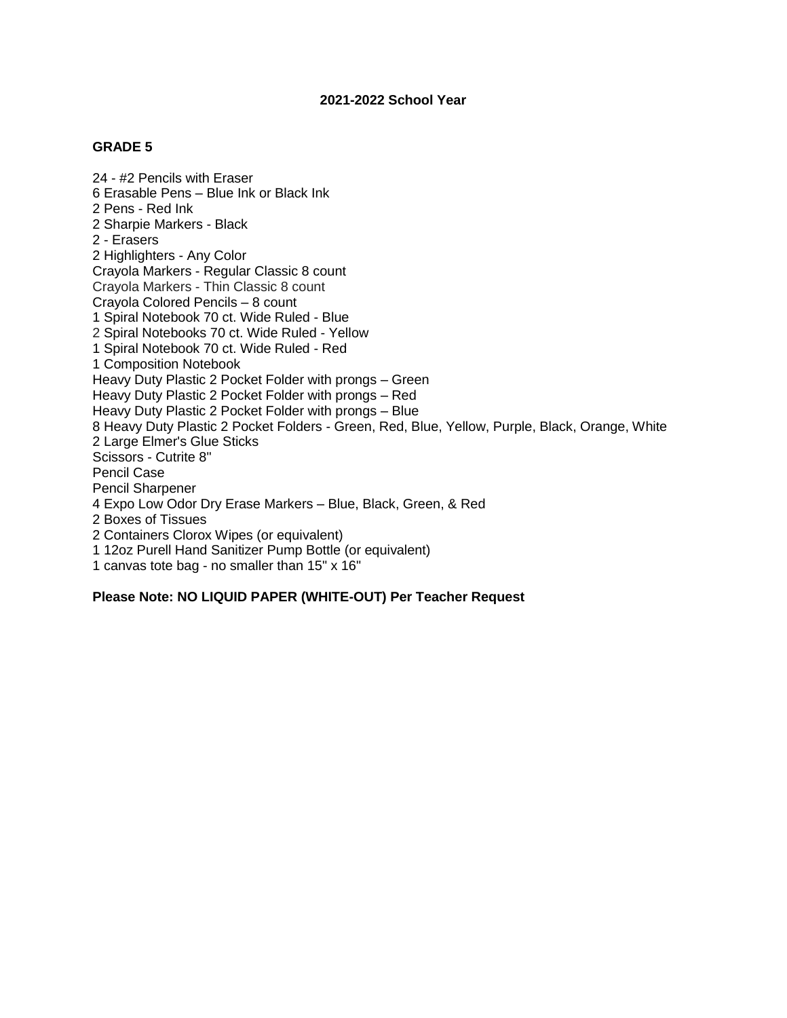24 - #2 Pencils with Eraser 6 Erasable Pens – Blue Ink or Black Ink 2 Pens - Red Ink 2 Sharpie Markers - Black 2 - Erasers 2 Highlighters - Any Color Crayola Markers - Regular Classic 8 count Crayola Markers - Thin Classic 8 count Crayola Colored Pencils – 8 count 1 Spiral Notebook 70 ct. Wide Ruled - Blue 2 Spiral Notebooks 70 ct. Wide Ruled - Yellow 1 Spiral Notebook 70 ct. Wide Ruled - Red 1 Composition Notebook Heavy Duty Plastic 2 Pocket Folder with prongs – Green Heavy Duty Plastic 2 Pocket Folder with prongs – Red Heavy Duty Plastic 2 Pocket Folder with prongs – Blue 8 Heavy Duty Plastic 2 Pocket Folders - Green, Red, Blue, Yellow, Purple, Black, Orange, White 2 Large Elmer's Glue Sticks Scissors - Cutrite 8" Pencil Case Pencil Sharpener 4 Expo Low Odor Dry Erase Markers – Blue, Black, Green, & Red 2 Boxes of Tissues 2 Containers Clorox Wipes (or equivalent) 1 12oz Purell Hand Sanitizer Pump Bottle (or equivalent) 1 canvas tote bag - no smaller than 15" x 16"

**Please Note: NO LIQUID PAPER (WHITE-OUT) Per Teacher Request**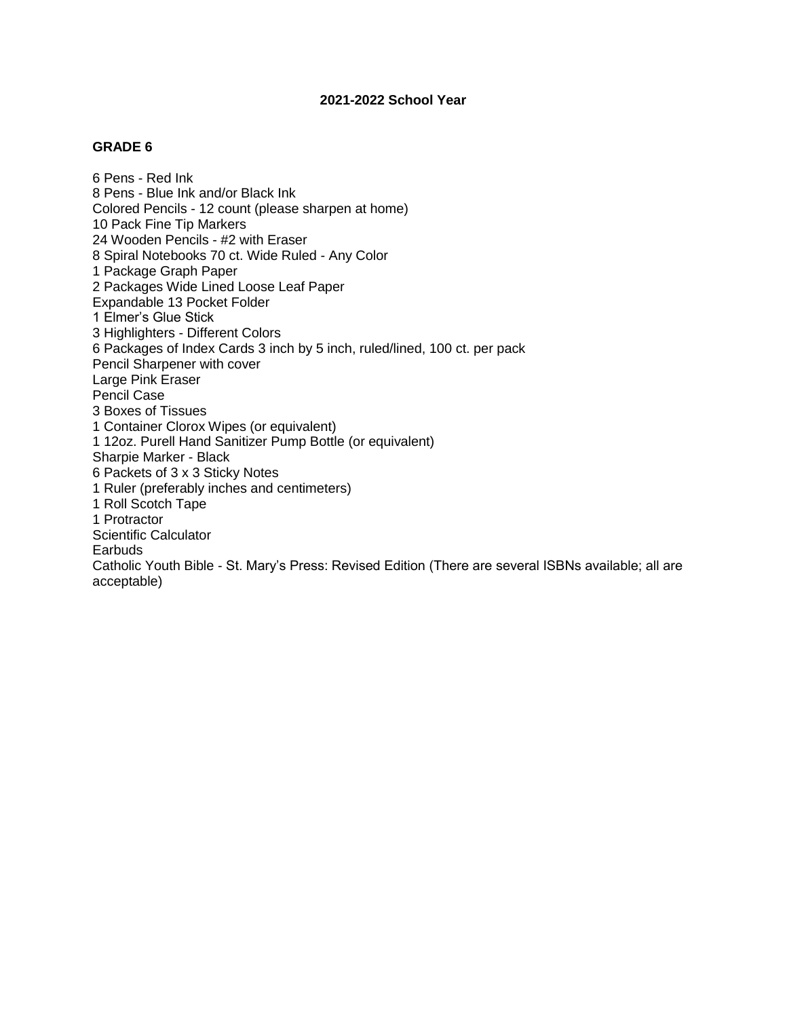#### **GRADE 6**

6 Pens - Red Ink 8 Pens - Blue Ink and/or Black Ink Colored Pencils - 12 count (please sharpen at home) 10 Pack Fine Tip Markers 24 Wooden Pencils - #2 with Eraser 8 Spiral Notebooks 70 ct. Wide Ruled - Any Color 1 Package Graph Paper 2 Packages Wide Lined Loose Leaf Paper Expandable 13 Pocket Folder 1 Elmer's Glue Stick 3 Highlighters - Different Colors 6 Packages of Index Cards 3 inch by 5 inch, ruled/lined, 100 ct. per pack Pencil Sharpener with cover Large Pink Eraser Pencil Case 3 Boxes of Tissues 1 Container Clorox Wipes (or equivalent) 1 12oz. Purell Hand Sanitizer Pump Bottle (or equivalent) Sharpie Marker - Black 6 Packets of 3 x 3 Sticky Notes 1 Ruler (preferably inches and centimeters) 1 Roll Scotch Tape 1 Protractor Scientific Calculator **Earbuds** Catholic Youth Bible - St. Mary's Press: Revised Edition (There are several ISBNs available; all are acceptable)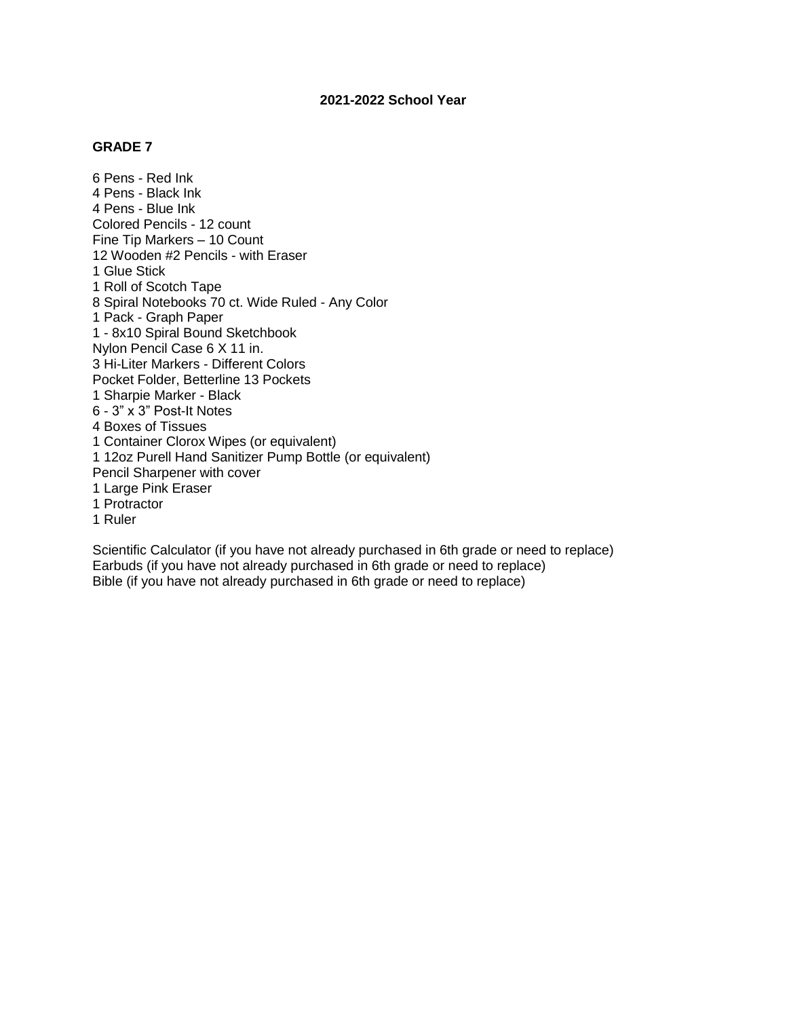6 Pens - Red Ink 4 Pens - Black Ink 4 Pens - Blue Ink Colored Pencils - 12 count Fine Tip Markers – 10 Count 12 Wooden #2 Pencils - with Eraser 1 Glue Stick 1 Roll of Scotch Tape 8 Spiral Notebooks 70 ct. Wide Ruled - Any Color 1 Pack - Graph Paper 1 - 8x10 Spiral Bound Sketchbook Nylon Pencil Case 6 X 11 in. 3 Hi-Liter Markers - Different Colors Pocket Folder, Betterline 13 Pockets 1 Sharpie Marker - Black 6 - 3" x 3" Post-It Notes 4 Boxes of Tissues 1 Container Clorox Wipes (or equivalent) 1 12oz Purell Hand Sanitizer Pump Bottle (or equivalent) Pencil Sharpener with cover 1 Large Pink Eraser 1 Protractor 1 Ruler

Scientific Calculator (if you have not already purchased in 6th grade or need to replace) Earbuds (if you have not already purchased in 6th grade or need to replace) Bible (if you have not already purchased in 6th grade or need to replace)